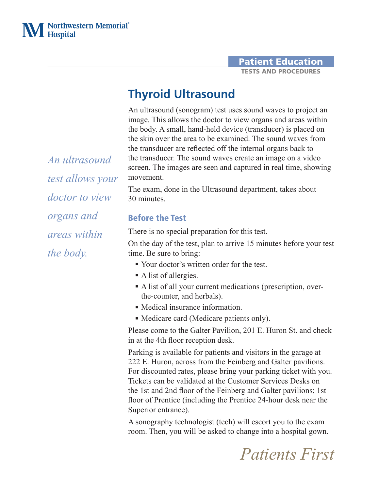Patient Education TESTS AND PROCEDURES

# **Thyroid Ultrasound**

An ultrasound (sonogram) test uses sound waves to project an image. This allows the doctor to view organs and areas within the body. A small, hand-held device (transducer) is placed on the skin over the area to be examined. The sound waves from the transducer are reflected off the internal organs back to the transducer. The sound waves create an image on a video screen. The images are seen and captured in real time, showing movement.

The exam, done in the Ultrasound department, takes about 30 minutes.

## Before the Test

There is no special preparation for this test.

On the day of the test, plan to arrive 15 minutes before your test time. Be sure to bring:

- Your doctor's written order for the test.
- A list of allergies.
- A list of all your current medications (prescription, overthe-counter, and herbals).
- Medical insurance information.
- Medicare card (Medicare patients only).

Please come to the Galter Pavilion, 201 E. Huron St. and check in at the 4th floor reception desk.

Parking is available for patients and visitors in the garage at 222 E. Huron, across from the Feinberg and Galter pavilions. For discounted rates, please bring your parking ticket with you. Tickets can be validated at the Customer Services Desks on the 1st and 2nd floor of the Feinberg and Galter pavilions; 1st floor of Prentice (including the Prentice 24-hour desk near the Superior entrance).

A sonography technologist (tech) will escort you to the exam room. Then, you will be asked to change into a hospital gown.

*An ultrasound test allows your doctor to view organs and areas within the body.*